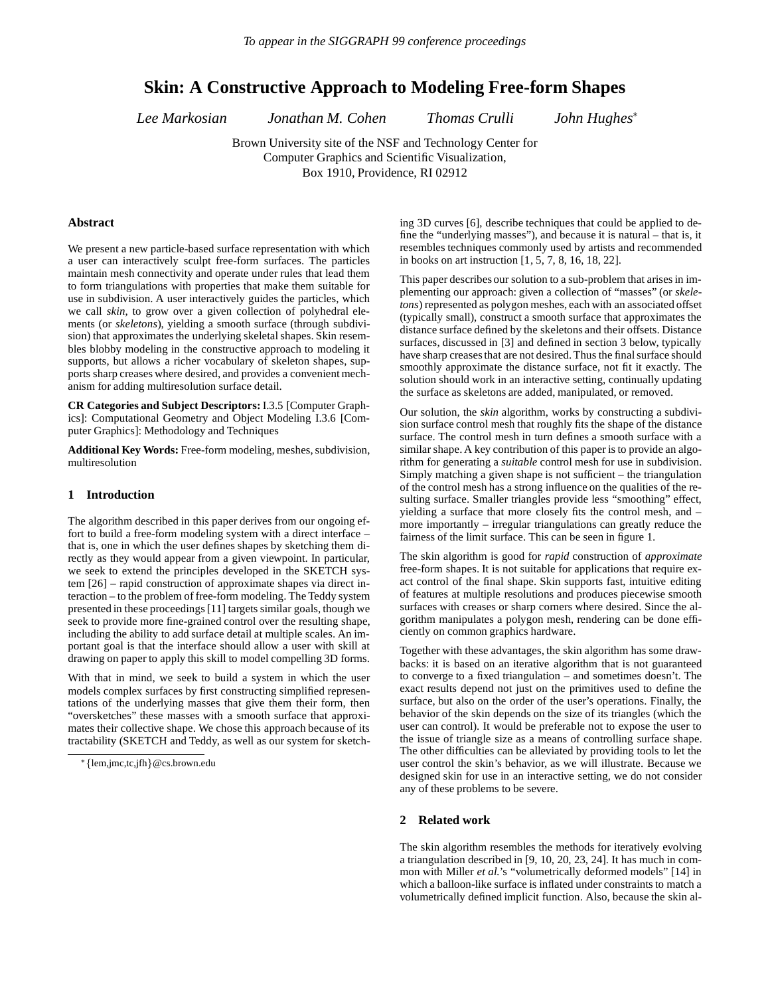# **Skin: A Constructive Approach to Modeling Free-form Shapes**

*Lee Markosian Jonathan M. Cohen Thomas Crulli John Hughes*<sup>∗</sup>

Brown University site of the NSF and Technology Center for Computer Graphics and Scientific Visualization, Box 1910, Providence, RI 02912

# **Abstract**

We present a new particle-based surface representation with which a user can interactively sculpt free-form surfaces. The particles maintain mesh connectivity and operate under rules that lead them to form triangulations with properties that make them suitable for use in subdivision. A user interactively guides the particles, which we call *skin*, to grow over a given collection of polyhedral elements (or *skeletons*), yielding a smooth surface (through subdivision) that approximates the underlying skeletal shapes. Skin resembles blobby modeling in the constructive approach to modeling it supports, but allows a richer vocabulary of skeleton shapes, supports sharp creases where desired, and provides a convenient mechanism for adding multiresolution surface detail.

**CR Categories and Subject Descriptors:** I.3.5 [Computer Graphics]: Computational Geometry and Object Modeling I.3.6 [Computer Graphics]: Methodology and Techniques

**Additional Key Words:** Free-form modeling, meshes, subdivision, multiresolution

# **1 Introduction**

The algorithm described in this paper derives from our ongoing effort to build a free-form modeling system with a direct interface – that is, one in which the user defines shapes by sketching them directly as they would appear from a given viewpoint. In particular, we seek to extend the principles developed in the SKETCH system [26] – rapid construction of approximate shapes via direct interaction – to the problem of free-form modeling. The Teddy system presented in these proceedings [11] targets similar goals, though we seek to provide more fine-grained control over the resulting shape, including the ability to add surface detail at multiple scales. An important goal is that the interface should allow a user with skill at drawing on paper to apply this skill to model compelling 3D forms.

With that in mind, we seek to build a system in which the user models complex surfaces by first constructing simplified representations of the underlying masses that give them their form, then "oversketches" these masses with a smooth surface that approximates their collective shape. We chose this approach because of its tractability (SKETCH and Teddy, as well as our system for sketch-

ing 3D curves [6], describe techniques that could be applied to define the "underlying masses"), and because it is natural – that is, it resembles techniques commonly used by artists and recommended in books on art instruction [1, 5, 7, 8, 16, 18, 22].

This paper describes our solution to a sub-problem that arises in implementing our approach: given a collection of "masses" (or *skeletons*) represented as polygon meshes, each with an associated offset (typically small), construct a smooth surface that approximates the distance surface defined by the skeletons and their offsets. Distance surfaces, discussed in [3] and defined in section 3 below, typically have sharp creases that are not desired. Thus the final surface should smoothly approximate the distance surface, not fit it exactly. The solution should work in an interactive setting, continually updating the surface as skeletons are added, manipulated, or removed.

Our solution, the *skin* algorithm, works by constructing a subdivision surface control mesh that roughly fits the shape of the distance surface. The control mesh in turn defines a smooth surface with a similar shape. A key contribution of this paper is to provide an algorithm for generating a *suitable* control mesh for use in subdivision. Simply matching a given shape is not sufficient – the triangulation of the control mesh has a strong influence on the qualities of the resulting surface. Smaller triangles provide less "smoothing" effect, yielding a surface that more closely fits the control mesh, and – more importantly – irregular triangulations can greatly reduce the fairness of the limit surface. This can be seen in figure 1.

The skin algorithm is good for *rapid* construction of *approximate* free-form shapes. It is not suitable for applications that require exact control of the final shape. Skin supports fast, intuitive editing of features at multiple resolutions and produces piecewise smooth surfaces with creases or sharp corners where desired. Since the algorithm manipulates a polygon mesh, rendering can be done efficiently on common graphics hardware.

Together with these advantages, the skin algorithm has some drawbacks: it is based on an iterative algorithm that is not guaranteed to converge to a fixed triangulation – and sometimes doesn't. The exact results depend not just on the primitives used to define the surface, but also on the order of the user's operations. Finally, the behavior of the skin depends on the size of its triangles (which the user can control). It would be preferable not to expose the user to the issue of triangle size as a means of controlling surface shape. The other difficulties can be alleviated by providing tools to let the user control the skin's behavior, as we will illustrate. Because we designed skin for use in an interactive setting, we do not consider any of these problems to be severe.

# **2 Related work**

The skin algorithm resembles the methods for iteratively evolving a triangulation described in [9, 10, 20, 23, 24]. It has much in common with Miller *et al.*'s "volumetrically deformed models" [14] in which a balloon-like surface is inflated under constraints to match a volumetrically defined implicit function. Also, because the skin al-

<sup>∗</sup>{lem,jmc,tc,jfh}@cs.brown.edu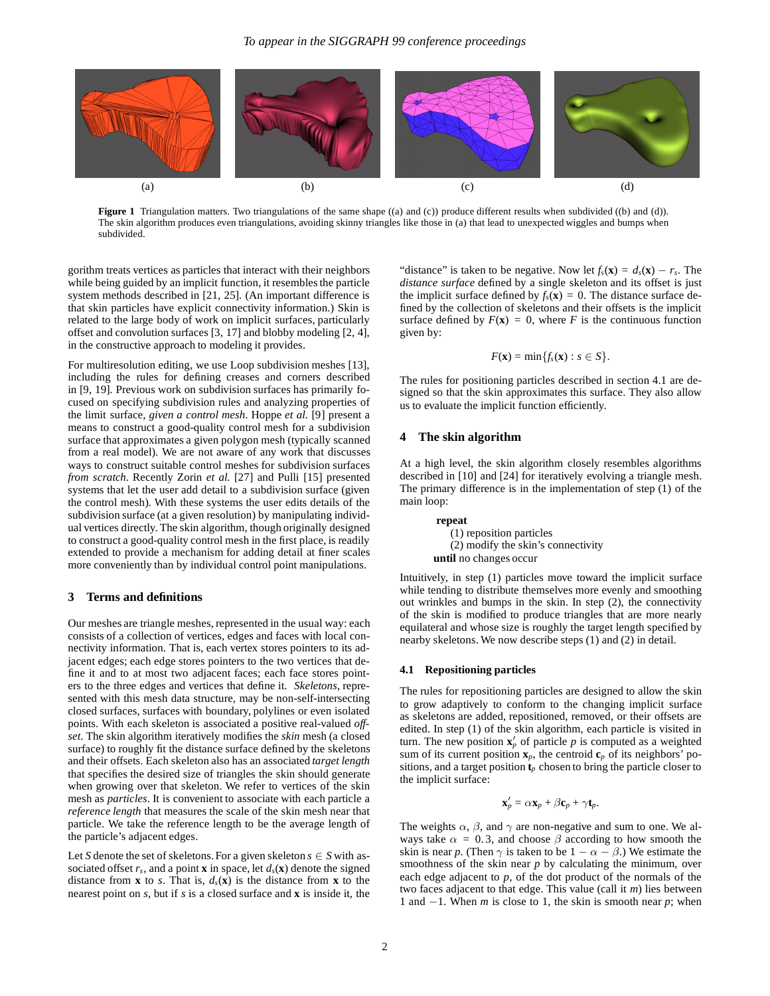

**Figure 1** Triangulation matters. Two triangulations of the same shape ((a) and (c)) produce different results when subdivided ((b) and (d)). The skin algorithm produces even triangulations, avoiding skinny triangles like those in (a) that lead to unexpected wiggles and bumps when subdivided.

gorithm treats vertices as particles that interact with their neighbors while being guided by an implicit function, it resembles the particle system methods described in [21, 25]. (An important difference is that skin particles have explicit connectivity information.) Skin is related to the large body of work on implicit surfaces, particularly offset and convolution surfaces [3, 17] and blobby modeling [2, 4], in the constructive approach to modeling it provides.

For multiresolution editing, we use Loop subdivision meshes [13], including the rules for defining creases and corners described in [9, 19]. Previous work on subdivision surfaces has primarily focused on specifying subdivision rules and analyzing properties of the limit surface, *given a control mesh*. Hoppe *et al.* [9] present a means to construct a good-quality control mesh for a subdivision surface that approximates a given polygon mesh (typically scanned from a real model). We are not aware of any work that discusses ways to construct suitable control meshes for subdivision surfaces *from scratch*. Recently Zorin *et al.* [27] and Pulli [15] presented systems that let the user add detail to a subdivision surface (given the control mesh). With these systems the user edits details of the subdivision surface (at a given resolution) by manipulating individual vertices directly. The skin algorithm, though originally designed to construct a good-quality control mesh in the first place, is readily extended to provide a mechanism for adding detail at finer scales more conveniently than by individual control point manipulations.

#### **3 Terms and definitions**

Our meshes are triangle meshes, represented in the usual way: each consists of a collection of vertices, edges and faces with local connectivity information. That is, each vertex stores pointers to its adjacent edges; each edge stores pointers to the two vertices that define it and to at most two adjacent faces; each face stores pointers to the three edges and vertices that define it. *Skeletons*, represented with this mesh data structure, may be non-self-intersecting closed surfaces, surfaces with boundary, polylines or even isolated points. With each skeleton is associated a positive real-valued *offset*. The skin algorithm iteratively modifies the *skin* mesh (a closed surface) to roughly fit the distance surface defined by the skeletons and their offsets. Each skeleton also has an associated *target length* that specifies the desired size of triangles the skin should generate when growing over that skeleton. We refer to vertices of the skin mesh as *particles*. It is convenient to associate with each particle a *reference length* that measures the scale of the skin mesh near that particle. We take the reference length to be the average length of the particle's adjacent edges.

Let *S* denote the set of skeletons. For a given skeleton  $s \in S$  with associated offset  $r_s$ , and a point **x** in space, let  $d_s(\mathbf{x})$  denote the signed distance from **x** to *s*. That is,  $d_s(\mathbf{x})$  is the distance from **x** to the nearest point on *s*, but if *s* is a closed surface and **x** is inside it, the

"distance" is taken to be negative. Now let  $f_s(\mathbf{x}) = d_s(\mathbf{x}) - r_s$ . The *distance surface* defined by a single skeleton and its offset is just the implicit surface defined by  $f_s(\mathbf{x}) = 0$ . The distance surface defined by the collection of skeletons and their offsets is the implicit surface defined by  $F(\mathbf{x}) = 0$ , where *F* is the continuous function given by:

$$
F(\mathbf{x}) = \min\{f_s(\mathbf{x}) : s \in S\}.
$$

The rules for positioning particles described in section 4.1 are designed so that the skin approximates this surface. They also allow us to evaluate the implicit function efficiently.

### **4 The skin algorithm**

At a high level, the skin algorithm closely resembles algorithms described in [10] and [24] for iteratively evolving a triangle mesh. The primary difference is in the implementation of step (1) of the main loop:

> **repeat** (1) reposition particles (2) modify the skin's connectivity **until** no changes occur

Intuitively, in step (1) particles move toward the implicit surface while tending to distribute themselves more evenly and smoothing out wrinkles and bumps in the skin. In step (2), the connectivity of the skin is modified to produce triangles that are more nearly equilateral and whose size is roughly the target length specified by nearby skeletons. We now describe steps (1) and (2) in detail.

#### **4.1 Repositioning particles**

The rules for repositioning particles are designed to allow the skin to grow adaptively to conform to the changing implicit surface as skeletons are added, repositioned, removed, or their offsets are edited. In step (1) of the skin algorithm, each particle is visited in turn. The new position  $\mathbf{x}'_p$  of particle p is computed as a weighted sum of its current position  $\mathbf{x}_p$ , the centroid  $\mathbf{c}_p$  of its neighbors' positions, and a target position  $t_p$  chosen to bring the particle closer to the implicit surface:

$$
\mathbf{x}'_p = \alpha \mathbf{x}_p + \beta \mathbf{c}_p + \gamma \mathbf{t}_p.
$$

The weights  $\alpha$ ,  $\beta$ , and  $\gamma$  are non-negative and sum to one. We always take  $\alpha = 0.3$ , and choose  $\beta$  according to how smooth the skin is near *p*. (Then  $\gamma$  is taken to be  $1 - \alpha - \beta$ .) We estimate the smoothness of the skin near *p* by calculating the minimum, over each edge adjacent to *p*, of the dot product of the normals of the two faces adjacent to that edge. This value (call it *m*) lies between 1 and −1. When *m* is close to 1, the skin is smooth near *p*; when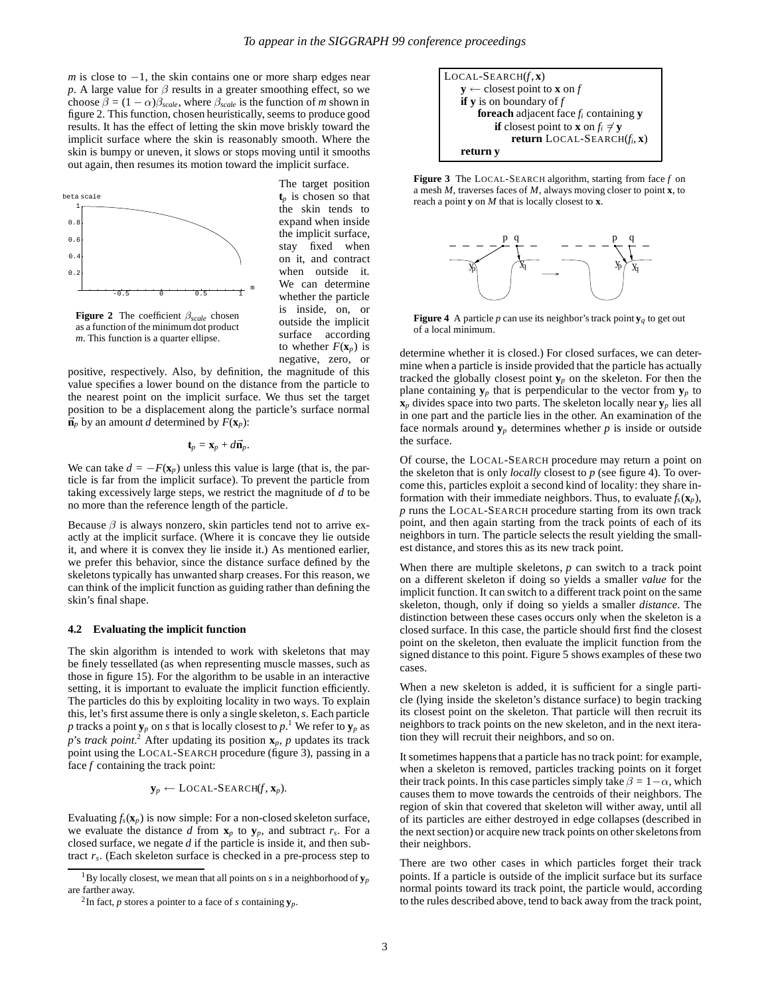*m* is close to −1, the skin contains one or more sharp edges near *p*. A large value for  $\beta$  results in a greater smoothing effect, so we choose  $\beta = (1 - \alpha)\beta_{scale}$ , where  $\beta_{scale}$  is the function of *m* shown in figure 2. This function, chosen heuristically, seems to produce good results. It has the effect of letting the skin move briskly toward the implicit surface where the skin is reasonably smooth. Where the skin is bumpy or uneven, it slows or stops moving until it smooths out again, then resumes its motion toward the implicit surface.



as a function of the minimum dot product *m*. This function is a quarter ellipse.

The target position **t***<sup>p</sup>* is chosen so that the skin tends to expand when inside the implicit surface, stay fixed when on it, and contract when outside it. We can determine whether the particle is inside, on, or outside the implicit surface according to whether  $F(\mathbf{x}_p)$  is negative, zero, or

positive, respectively. Also, by definition, the magnitude of this value specifies a lower bound on the distance from the particle to the nearest point on the implicit surface. We thus set the target position to be a displacement along the particle's surface normal  $\vec{\mathbf{n}}_p$  by an amount *d* determined by  $F(\mathbf{x}_p)$ :

$$
\mathbf{t}_p = \mathbf{x}_p + d\vec{\mathbf{n}}_p.
$$

We can take  $d = -F(\mathbf{x}_p)$  unless this value is large (that is, the particle is far from the implicit surface). To prevent the particle from taking excessively large steps, we restrict the magnitude of *d* to be no more than the reference length of the particle.

Because  $\beta$  is always nonzero, skin particles tend not to arrive exactly at the implicit surface. (Where it is concave they lie outside it, and where it is convex they lie inside it.) As mentioned earlier, we prefer this behavior, since the distance surface defined by the skeletons typically has unwanted sharp creases. For this reason, we can think of the implicit function as guiding rather than defining the skin's final shape.

### **4.2 Evaluating the implicit function**

The skin algorithm is intended to work with skeletons that may be finely tessellated (as when representing muscle masses, such as those in figure 15). For the algorithm to be usable in an interactive setting, it is important to evaluate the implicit function efficiently. The particles do this by exploiting locality in two ways. To explain this, let's first assume there is only a single skeleton,*s*. Each particle p tracks a point  $\mathbf{y}_p$  on *s* that is locally closest to  $p$ .<sup>1</sup> We refer to  $\mathbf{y}_p$  as *p*'s *track point*. <sup>2</sup> After updating its position **x***p*, *p* updates its track point using the LOCAL-SEARCH procedure (figure 3), passing in a face *f* containing the track point:

$$
\mathbf{y}_p \leftarrow \text{LOCAL-SEARCH}(f, \mathbf{x}_p).
$$

Evaluating  $f_s(\mathbf{x}_p)$  is now simple: For a non-closed skeleton surface, we evaluate the distance *d* from  $\mathbf{x}_p$  to  $\mathbf{y}_p$ , and subtract  $r_s$ . For a closed surface, we negate *d* if the particle is inside it, and then subtract *rs*. (Each skeleton surface is checked in a pre-process step to



**Figure 3** The LOCAL-SEARCH algorithm, starting from face *f* on a mesh *M*, traverses faces of *M*, always moving closer to point **x**, to reach a point **y** on *M* that is locally closest to **x**.



**Figure 4** A particle  $p$  can use its neighbor's track point  $\mathbf{y}_q$  to get out of a local minimum.

determine whether it is closed.) For closed surfaces, we can determine when a particle is inside provided that the particle has actually tracked the globally closest point  $y_p$  on the skeleton. For then the plane containing  $\mathbf{y}_p$  that is perpendicular to the vector from  $\mathbf{y}_p$  to  $\mathbf{x}_p$  divides space into two parts. The skeleton locally near  $\mathbf{y}_p$  lies all in one part and the particle lies in the other. An examination of the face normals around  $\mathbf{y}_p$  determines whether  $p$  is inside or outside the surface.

Of course, the LOCAL-SEARCH procedure may return a point on the skeleton that is only *locally* closest to *p* (see figure 4). To overcome this, particles exploit a second kind of locality: they share information with their immediate neighbors. Thus, to evaluate  $f_s(\mathbf{x}_p)$ , *p* runs the LOCAL-SEARCH procedure starting from its own track point, and then again starting from the track points of each of its neighbors in turn. The particle selects the result yielding the smallest distance, and stores this as its new track point.

When there are multiple skeletons, *p* can switch to a track point on a different skeleton if doing so yields a smaller *value* for the implicit function. It can switch to a different track point on the same skeleton, though, only if doing so yields a smaller *distance*. The distinction between these cases occurs only when the skeleton is a closed surface. In this case, the particle should first find the closest point on the skeleton, then evaluate the implicit function from the signed distance to this point. Figure 5 shows examples of these two cases.

When a new skeleton is added, it is sufficient for a single particle (lying inside the skeleton's distance surface) to begin tracking its closest point on the skeleton. That particle will then recruit its neighbors to track points on the new skeleton, and in the next iteration they will recruit their neighbors, and so on.

It sometimes happens that a particle has no track point: for example, when a skeleton is removed, particles tracking points on it forget their track points. In this case particles simply take  $\beta = 1 - \alpha$ , which causes them to move towards the centroids of their neighbors. The region of skin that covered that skeleton will wither away, until all of its particles are either destroyed in edge collapses (described in the next section) or acquire new track points on other skeletonsfrom their neighbors.

There are two other cases in which particles forget their track points. If a particle is outside of the implicit surface but its surface normal points toward its track point, the particle would, according to the rules described above, tend to back away from the track point,

<sup>&</sup>lt;sup>1</sup>By locally closest, we mean that all points on *s* in a neighborhood of  $y_p$ are farther away.

<sup>&</sup>lt;sup>2</sup>In fact, *p* stores a pointer to a face of *s* containing  $\mathbf{y}_p$ .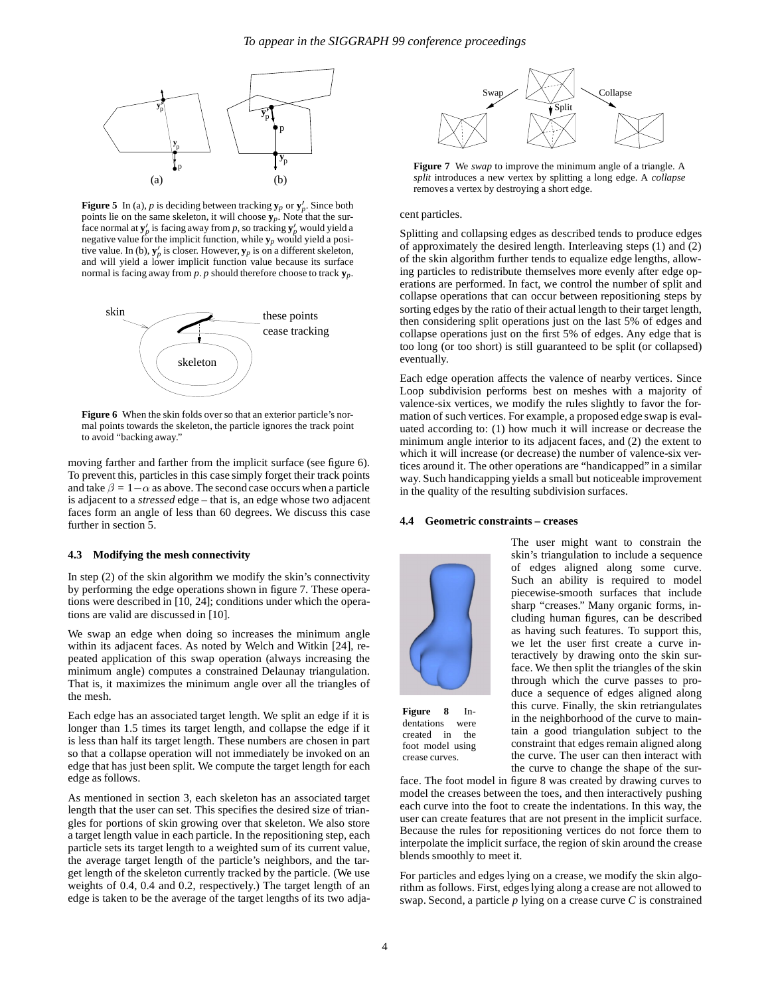

**Figure 5** In (a), *p* is deciding between tracking  $\mathbf{y}_p$  or  $\mathbf{y}'_p$ . Since both points lie on the same skeleton, it will choose  $y_p$ . Note that the surface normal at  $\mathbf{y}'_p$  is facing away from  $p$ , so tracking  $\mathbf{y}'_p$  would yield a negative value for the implicit function, while  $y_p$  would yield a positive value. In (b),  $y_p'$  is closer. However,  $y_p$  is on a different skeleton, and will yield a lower implicit function value because its surface normal is facing away from *p*. *p* should therefore choose to track **y***p*.



**Figure 6** When the skin folds over so that an exterior particle's normal points towards the skeleton, the particle ignores the track point to avoid "backing away."

moving farther and farther from the implicit surface (see figure 6). To prevent this, particles in this case simply forget their track points and take  $\beta = 1 - \alpha$  as above. The second case occurs when a particle is adjacent to a *stressed* edge – that is, an edge whose two adjacent faces form an angle of less than 60 degrees. We discuss this case further in section 5.

### **4.3 Modifying the mesh connectivity**

In step  $(2)$  of the skin algorithm we modify the skin's connectivity by performing the edge operations shown in figure 7. These operations were described in [10, 24]; conditions under which the operations are valid are discussed in [10].

We swap an edge when doing so increases the minimum angle within its adjacent faces. As noted by Welch and Witkin [24], repeated application of this swap operation (always increasing the minimum angle) computes a constrained Delaunay triangulation. That is, it maximizes the minimum angle over all the triangles of the mesh.

Each edge has an associated target length. We split an edge if it is longer than 1.5 times its target length, and collapse the edge if it is less than half its target length. These numbers are chosen in part so that a collapse operation will not immediately be invoked on an edge that has just been split. We compute the target length for each edge as follows.

As mentioned in section 3, each skeleton has an associated target length that the user can set. This specifies the desired size of triangles for portions of skin growing over that skeleton. We also store a target length value in each particle. In the repositioning step, each particle sets its target length to a weighted sum of its current value, the average target length of the particle's neighbors, and the target length of the skeleton currently tracked by the particle. (We use weights of 0.4, 0.4 and 0.2, respectively.) The target length of an edge is taken to be the average of the target lengths of its two adja-



**Figure 7** We *swap* to improve the minimum angle of a triangle. A *split* introduces a new vertex by splitting a long edge. A *collapse* removes a vertex by destroying a short edge.

#### cent particles.

Splitting and collapsing edges as described tends to produce edges of approximately the desired length. Interleaving steps (1) and (2) of the skin algorithm further tends to equalize edge lengths, allowing particles to redistribute themselves more evenly after edge operations are performed. In fact, we control the number of split and collapse operations that can occur between repositioning steps by sorting edges by the ratio of their actual length to their target length, then considering split operations just on the last 5% of edges and collapse operations just on the first 5% of edges. Any edge that is too long (or too short) is still guaranteed to be split (or collapsed) eventually.

Each edge operation affects the valence of nearby vertices. Since Loop subdivision performs best on meshes with a majority of valence-six vertices, we modify the rules slightly to favor the formation of such vertices. For example, a proposed edge swap is evaluated according to: (1) how much it will increase or decrease the minimum angle interior to its adjacent faces, and (2) the extent to which it will increase (or decrease) the number of valence-six vertices around it. The other operations are "handicapped" in a similar way. Such handicapping yields a small but noticeable improvement in the quality of the resulting subdivision surfaces.

#### **4.4 Geometric constraints – creases**



**Figure 8** Indentations were created in the foot model using crease curves.

The user might want to constrain the skin's triangulation to include a sequence of edges aligned along some curve. Such an ability is required to model piecewise-smooth surfaces that include sharp "creases." Many organic forms, including human figures, can be described as having such features. To support this, we let the user first create a curve interactively by drawing onto the skin surface. We then split the triangles of the skin through which the curve passes to produce a sequence of edges aligned along this curve. Finally, the skin retriangulates in the neighborhood of the curve to maintain a good triangulation subject to the constraint that edges remain aligned along the curve. The user can then interact with the curve to change the shape of the sur-

face. The foot model in figure 8 was created by drawing curves to model the creases between the toes, and then interactively pushing each curve into the foot to create the indentations. In this way, the user can create features that are not present in the implicit surface. Because the rules for repositioning vertices do not force them to interpolate the implicit surface, the region of skin around the crease blends smoothly to meet it.

For particles and edges lying on a crease, we modify the skin algorithm as follows. First, edges lying along a crease are not allowed to swap. Second, a particle *p* lying on a crease curve *C* is constrained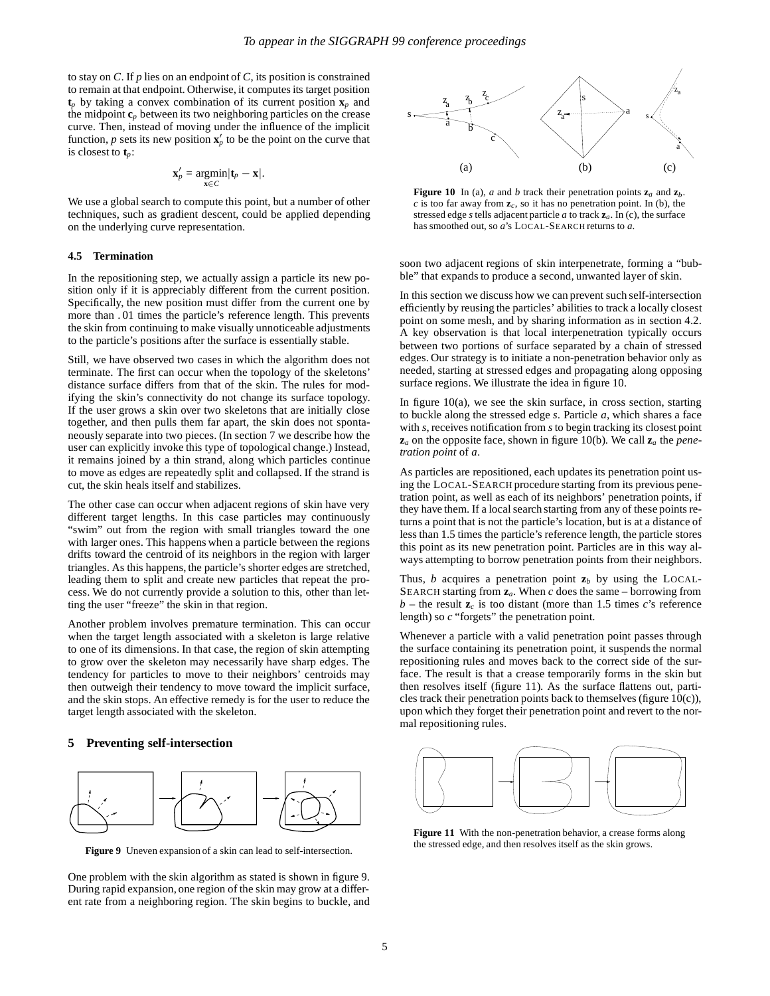to stay on *C*. If *p* lies on an endpoint of *C*, its position is constrained to remain at that endpoint. Otherwise, it computes its target position  $t_p$  by taking a convex combination of its current position  $\mathbf{x}_p$  and the midpoint  $\mathbf{c}_p$  between its two neighboring particles on the crease curve. Then, instead of moving under the influence of the implicit function, *p* sets its new position  $\mathbf{x}'_p$  to be the point on the curve that is closest to **t***p*:

$$
\mathbf{x}'_p = \underset{\mathbf{x} \in C}{\operatorname{argmin}} |\mathbf{t}_p - \mathbf{x}|.
$$

We use a global search to compute this point, but a number of other techniques, such as gradient descent, could be applied depending on the underlying curve representation.

# **4.5 Termination**

In the repositioning step, we actually assign a particle its new position only if it is appreciably different from the current position. Specifically, the new position must differ from the current one by more than . 01 times the particle's reference length. This prevents the skin from continuing to make visually unnoticeable adjustments to the particle's positions after the surface is essentially stable.

Still, we have observed two cases in which the algorithm does not terminate. The first can occur when the topology of the skeletons' distance surface differs from that of the skin. The rules for modifying the skin's connectivity do not change its surface topology. If the user grows a skin over two skeletons that are initially close together, and then pulls them far apart, the skin does not spontaneously separate into two pieces. (In section 7 we describe how the user can explicitly invoke this type of topological change.) Instead, it remains joined by a thin strand, along which particles continue to move as edges are repeatedly split and collapsed. If the strand is cut, the skin heals itself and stabilizes.

The other case can occur when adjacent regions of skin have very different target lengths. In this case particles may continuously "swim" out from the region with small triangles toward the one with larger ones. This happens when a particle between the regions drifts toward the centroid of its neighbors in the region with larger triangles. As this happens, the particle's shorter edges are stretched, leading them to split and create new particles that repeat the process. We do not currently provide a solution to this, other than letting the user "freeze" the skin in that region.

Another problem involves premature termination. This can occur when the target length associated with a skeleton is large relative to one of its dimensions. In that case, the region of skin attempting to grow over the skeleton may necessarily have sharp edges. The tendency for particles to move to their neighbors' centroids may then outweigh their tendency to move toward the implicit surface, and the skin stops. An effective remedy is for the user to reduce the target length associated with the skeleton.

### **5 Preventing self-intersection**



**Figure 9** Uneven expansion of a skin can lead to self-intersection.

One problem with the skin algorithm as stated is shown in figure 9. During rapid expansion, one region of the skin may grow at a different rate from a neighboring region. The skin begins to buckle, and



**Figure 10** In (a), *a* and *b* track their penetration points  $z_a$  and  $z_b$ . *c* is too far away from **z***c*, so it has no penetration point. In (b), the stressed edge *s* tells adjacent particle *a* to track **z***a*. In (c), the surface has smoothed out, so *a*'s LOCAL-SEARCH returns to *a*.

soon two adjacent regions of skin interpenetrate, forming a "bubble" that expands to produce a second, unwanted layer of skin.

In this section we discuss how we can prevent such self-intersection efficiently by reusing the particles' abilities to track a locally closest point on some mesh, and by sharing information as in section 4.2. A key observation is that local interpenetration typically occurs between two portions of surface separated by a chain of stressed edges. Our strategy is to initiate a non-penetration behavior only as needed, starting at stressed edges and propagating along opposing surface regions. We illustrate the idea in figure 10.

In figure  $10(a)$ , we see the skin surface, in cross section, starting to buckle along the stressed edge *s*. Particle *a*, which shares a face with *s*, receives notification from *s* to begin tracking its closest point  $\mathbf{z}_a$  on the opposite face, shown in figure 10(b). We call  $\mathbf{z}_a$  the *penetration point* of *a*.

As particles are repositioned, each updates its penetration point using the LOCAL-SEARCH procedure starting from its previous penetration point, as well as each of its neighbors' penetration points, if they have them. If a local search starting from any of these points returns a point that is not the particle's location, but is at a distance of less than 1.5 times the particle's reference length, the particle stores this point as its new penetration point. Particles are in this way always attempting to borrow penetration points from their neighbors.

Thus, *b* acquires a penetration point  $\mathbf{z}_b$  by using the LOCAL-SEARCH starting from **z***a*. When *c* does the same – borrowing from  $b$  – the result  $\mathbf{z}_c$  is too distant (more than 1.5 times *c*'s reference length) so *c* "forgets" the penetration point.

Whenever a particle with a valid penetration point passes through the surface containing its penetration point, it suspends the normal repositioning rules and moves back to the correct side of the surface. The result is that a crease temporarily forms in the skin but then resolves itself (figure 11). As the surface flattens out, particles track their penetration points back to themselves (figure 10(c)), upon which they forget their penetration point and revert to the normal repositioning rules.



**Figure 11** With the non-penetration behavior, a crease forms along the stressed edge, and then resolves itself as the skin grows.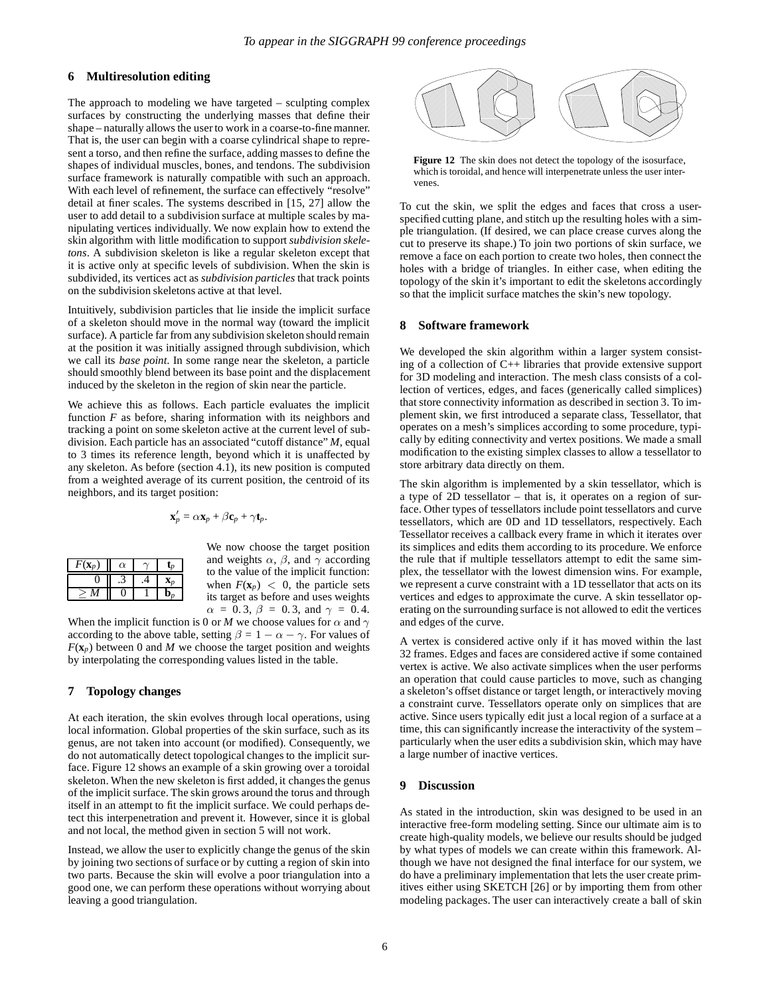# **6 Multiresolution editing**

The approach to modeling we have targeted – sculpting complex surfaces by constructing the underlying masses that define their shape – naturally allows the user to work in a coarse-to-fine manner. That is, the user can begin with a coarse cylindrical shape to represent a torso, and then refine the surface, adding masses to define the shapes of individual muscles, bones, and tendons. The subdivision surface framework is naturally compatible with such an approach. With each level of refinement, the surface can effectively "resolve" detail at finer scales. The systems described in [15, 27] allow the user to add detail to a subdivision surface at multiple scales by manipulating vertices individually. We now explain how to extend the skin algorithm with little modification to support *subdivision skeletons*. A subdivision skeleton is like a regular skeleton except that it is active only at specific levels of subdivision. When the skin is subdivided, its vertices act as *subdivision particles* that track points on the subdivision skeletons active at that level.

Intuitively, subdivision particles that lie inside the implicit surface of a skeleton should move in the normal way (toward the implicit surface). A particle far from any subdivision skeleton should remain at the position it was initially assigned through subdivision, which we call its *base point*. In some range near the skeleton, a particle should smoothly blend between its base point and the displacement induced by the skeleton in the region of skin near the particle.

We achieve this as follows. Each particle evaluates the implicit function *F* as before, sharing information with its neighbors and tracking a point on some skeleton active at the current level of subdivision. Each particle has an associated "cutoff distance" *M*, equal to 3 times its reference length, beyond which it is unaffected by any skeleton. As before (section 4.1), its new position is computed from a weighted average of its current position, the centroid of its neighbors, and its target position:

$$
\mathbf{x}'_p = \alpha \mathbf{x}_p + \beta \mathbf{c}_p + \gamma \mathbf{t}_p.
$$

| $F({\bf x})$ | $\alpha$ |  |
|--------------|----------|--|
|              |          |  |
|              |          |  |

We now choose the target position and weights  $\alpha$ ,  $\beta$ , and  $\gamma$  according to the value of the implicit function: when  $F(\mathbf{x}_p) < 0$ , the particle sets its target as before and uses weights  $\alpha = 0.3, \beta = 0.3, \text{ and } \gamma = 0.4.$ 

When the implicit function is 0 or *M* we choose values for  $\alpha$  and  $\gamma$ according to the above table, setting  $\beta = 1 - \alpha - \gamma$ . For values of  $F(\mathbf{x}_p)$  between 0 and *M* we choose the target position and weights by interpolating the corresponding values listed in the table.

# **7 Topology changes**

At each iteration, the skin evolves through local operations, using local information. Global properties of the skin surface, such as its genus, are not taken into account (or modified). Consequently, we do not automatically detect topological changes to the implicit surface. Figure 12 shows an example of a skin growing over a toroidal skeleton. When the new skeleton is first added, it changes the genus of the implicit surface. The skin grows around the torus and through itself in an attempt to fit the implicit surface. We could perhaps detect this interpenetration and prevent it. However, since it is global and not local, the method given in section 5 will not work.

Instead, we allow the user to explicitly change the genus of the skin by joining two sections of surface or by cutting a region of skin into two parts. Because the skin will evolve a poor triangulation into a good one, we can perform these operations without worrying about leaving a good triangulation.



Figure 12 The skin does not detect the topology of the isosurface, which is toroidal, and hence will interpenetrate unless the user intervenes.

To cut the skin, we split the edges and faces that cross a userspecified cutting plane, and stitch up the resulting holes with a simple triangulation. (If desired, we can place crease curves along the cut to preserve its shape.) To join two portions of skin surface, we remove a face on each portion to create two holes, then connect the holes with a bridge of triangles. In either case, when editing the topology of the skin it's important to edit the skeletons accordingly so that the implicit surface matches the skin's new topology.

### **8 Software framework**

We developed the skin algorithm within a larger system consisting of a collection of C++ libraries that provide extensive support for 3D modeling and interaction. The mesh class consists of a collection of vertices, edges, and faces (generically called simplices) that store connectivity information as described in section 3. To implement skin, we first introduced a separate class, Tessellator, that operates on a mesh's simplices according to some procedure, typically by editing connectivity and vertex positions. We made a small modification to the existing simplex classes to allow a tessellator to store arbitrary data directly on them.

The skin algorithm is implemented by a skin tessellator, which is a type of 2D tessellator – that is, it operates on a region of surface. Other types of tessellators include point tessellators and curve tessellators, which are 0D and 1D tessellators, respectively. Each Tessellator receives a callback every frame in which it iterates over its simplices and edits them according to its procedure. We enforce the rule that if multiple tessellators attempt to edit the same simplex, the tessellator with the lowest dimension wins. For example, we represent a curve constraint with a 1D tessellator that acts on its vertices and edges to approximate the curve. A skin tessellator operating on the surrounding surface is not allowed to edit the vertices and edges of the curve.

A vertex is considered active only if it has moved within the last 32 frames. Edges and faces are considered active if some contained vertex is active. We also activate simplices when the user performs an operation that could cause particles to move, such as changing a skeleton's offset distance or target length, or interactively moving a constraint curve. Tessellators operate only on simplices that are active. Since users typically edit just a local region of a surface at a time, this can significantly increase the interactivity of the system – particularly when the user edits a subdivision skin, which may have a large number of inactive vertices.

### **9 Discussion**

As stated in the introduction, skin was designed to be used in an interactive free-form modeling setting. Since our ultimate aim is to create high-quality models, we believe our results should be judged by what types of models we can create within this framework. Although we have not designed the final interface for our system, we do have a preliminary implementation that lets the user create primitives either using SKETCH [26] or by importing them from other modeling packages. The user can interactively create a ball of skin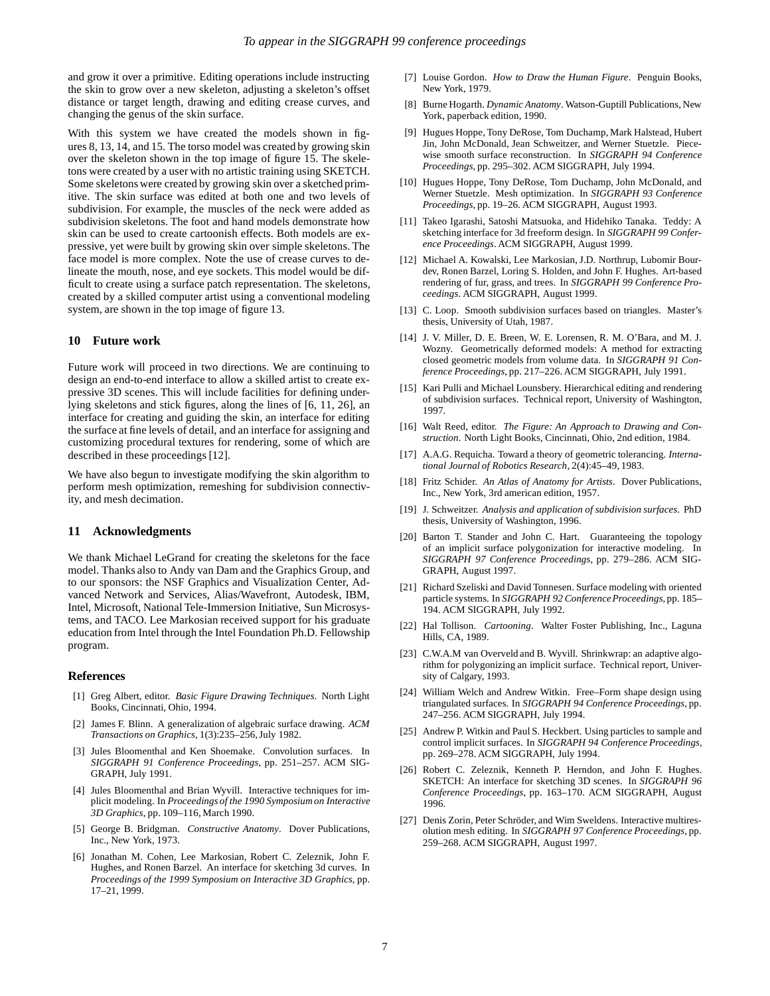and grow it over a primitive. Editing operations include instructing the skin to grow over a new skeleton, adjusting a skeleton's offset distance or target length, drawing and editing crease curves, and changing the genus of the skin surface.

With this system we have created the models shown in figures 8, 13, 14, and 15. The torso model was created by growing skin over the skeleton shown in the top image of figure 15. The skeletons were created by a user with no artistic training using SKETCH. Some skeletons were created by growing skin over a sketched primitive. The skin surface was edited at both one and two levels of subdivision. For example, the muscles of the neck were added as subdivision skeletons. The foot and hand models demonstrate how skin can be used to create cartoonish effects. Both models are expressive, yet were built by growing skin over simple skeletons. The face model is more complex. Note the use of crease curves to delineate the mouth, nose, and eye sockets. This model would be difficult to create using a surface patch representation. The skeletons, created by a skilled computer artist using a conventional modeling system, are shown in the top image of figure 13.

### **10 Future work**

Future work will proceed in two directions. We are continuing to design an end-to-end interface to allow a skilled artist to create expressive 3D scenes. This will include facilities for defining underlying skeletons and stick figures, along the lines of [6, 11, 26], an interface for creating and guiding the skin, an interface for editing the surface at fine levels of detail, and an interface for assigning and customizing procedural textures for rendering, some of which are described in these proceedings [12].

We have also begun to investigate modifying the skin algorithm to perform mesh optimization, remeshing for subdivision connectivity, and mesh decimation.

# **11 Acknowledgments**

We thank Michael LeGrand for creating the skeletons for the face model. Thanks also to Andy van Dam and the Graphics Group, and to our sponsors: the NSF Graphics and Visualization Center, Advanced Network and Services, Alias/Wavefront, Autodesk, IBM, Intel, Microsoft, National Tele-Immersion Initiative, Sun Microsystems, and TACO. Lee Markosian received support for his graduate education from Intel through the Intel Foundation Ph.D. Fellowship program.

#### **References**

- [1] Greg Albert, editor. *Basic Figure Drawing Techniques*. North Light Books, Cincinnati, Ohio, 1994.
- [2] James F. Blinn. A generalization of algebraic surface drawing. *ACM Transactions on Graphics*, 1(3):235–256, July 1982.
- [3] Jules Bloomenthal and Ken Shoemake. Convolution surfaces. In *SIGGRAPH 91 Conference Proceedings*, pp. 251–257. ACM SIG-GRAPH, July 1991.
- [4] Jules Bloomenthal and Brian Wyvill. Interactive techniques for implicit modeling. In *Proceedings of the 1990 Symposium on Interactive 3D Graphics*, pp. 109–116, March 1990.
- [5] George B. Bridgman. *Constructive Anatomy*. Dover Publications, Inc., New York, 1973.
- [6] Jonathan M. Cohen, Lee Markosian, Robert C. Zeleznik, John F. Hughes, and Ronen Barzel. An interface for sketching 3d curves. In *Proceedings of the 1999 Symposium on Interactive 3D Graphics*, pp. 17–21, 1999.
- [7] Louise Gordon. *How to Draw the Human Figure*. Penguin Books, New York, 1979.
- [8] Burne Hogarth. *Dynamic Anatomy*. Watson-Guptill Publications, New York, paperback edition, 1990.
- [9] Hugues Hoppe, Tony DeRose, Tom Duchamp, Mark Halstead, Hubert Jin, John McDonald, Jean Schweitzer, and Werner Stuetzle. Piecewise smooth surface reconstruction. In *SIGGRAPH 94 Conference Proceedings*, pp. 295–302. ACM SIGGRAPH, July 1994.
- [10] Hugues Hoppe, Tony DeRose, Tom Duchamp, John McDonald, and Werner Stuetzle. Mesh optimization. In *SIGGRAPH 93 Conference Proceedings*, pp. 19–26. ACM SIGGRAPH, August 1993.
- [11] Takeo Igarashi, Satoshi Matsuoka, and Hidehiko Tanaka. Teddy: A sketching interface for 3d freeform design. In *SIGGRAPH 99 Conference Proceedings*. ACM SIGGRAPH, August 1999.
- [12] Michael A. Kowalski, Lee Markosian, J.D. Northrup, Lubomir Bourdev, Ronen Barzel, Loring S. Holden, and John F. Hughes. Art-based rendering of fur, grass, and trees. In *SIGGRAPH 99 Conference Proceedings*. ACM SIGGRAPH, August 1999.
- [13] C. Loop. Smooth subdivision surfaces based on triangles. Master's thesis, University of Utah, 1987.
- [14] J. V. Miller, D. E. Breen, W. E. Lorensen, R. M. O'Bara, and M. J. Wozny. Geometrically deformed models: A method for extracting closed geometric models from volume data. In *SIGGRAPH 91 Conference Proceedings*, pp. 217–226. ACM SIGGRAPH, July 1991.
- [15] Kari Pulli and Michael Lounsbery. Hierarchical editing and rendering of subdivision surfaces. Technical report, University of Washington, 1997.
- [16] Walt Reed, editor. *The Figure: An Approach to Drawing and Construction*. North Light Books, Cincinnati, Ohio, 2nd edition, 1984.
- [17] A.A.G. Requicha. Toward a theory of geometric tolerancing. *International Journal of Robotics Research*, 2(4):45–49, 1983.
- [18] Fritz Schider. *An Atlas of Anatomy for Artists*. Dover Publications, Inc., New York, 3rd american edition, 1957.
- [19] J. Schweitzer. *Analysis and application of subdivision surfaces*. PhD thesis, University of Washington, 1996.
- [20] Barton T. Stander and John C. Hart. Guaranteeing the topology of an implicit surface polygonization for interactive modeling. In *SIGGRAPH 97 Conference Proceedings*, pp. 279–286. ACM SIG-GRAPH, August 1997.
- [21] Richard Szeliski and David Tonnesen. Surface modeling with oriented particle systems. In *SIGGRAPH 92 Conference Proceedings*, pp. 185– 194. ACM SIGGRAPH, July 1992.
- [22] Hal Tollison. *Cartooning*. Walter Foster Publishing, Inc., Laguna Hills, CA, 1989.
- [23] C.W.A.M van Overveld and B. Wyvill. Shrinkwrap: an adaptive algorithm for polygonizing an implicit surface. Technical report, University of Calgary, 1993.
- [24] William Welch and Andrew Witkin. Free–Form shape design using triangulated surfaces. In *SIGGRAPH 94 Conference Proceedings*, pp. 247–256. ACM SIGGRAPH, July 1994.
- [25] Andrew P. Witkin and Paul S. Heckbert. Using particles to sample and control implicit surfaces. In *SIGGRAPH 94 Conference Proceedings*, pp. 269–278. ACM SIGGRAPH, July 1994.
- [26] Robert C. Zeleznik, Kenneth P. Herndon, and John F. Hughes. SKETCH: An interface for sketching 3D scenes. In *SIGGRAPH 96 Conference Proceedings*, pp. 163–170. ACM SIGGRAPH, August 1996.
- [27] Denis Zorin, Peter Schröder, and Wim Sweldens. Interactive multiresolution mesh editing. In *SIGGRAPH 97 Conference Proceedings*, pp. 259–268. ACM SIGGRAPH, August 1997.